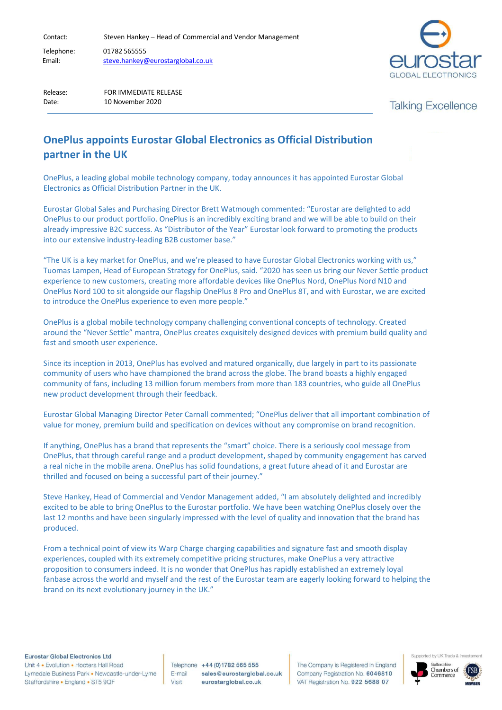Contact: Steven Hankey – Head of Commercial and Vendor Management

Telephone: 01782 565555 Email: [steve.hankey@eurostarglobal.co.uk](mailto:steve.hankey@eurostarglobal.co.uk)



Release: FOR IMMEDIATE RELEASE Date: 10 November 2020

**Talking Excellence** 

## **OnePlus appoints Eurostar Global Electronics as Official Distribution partner in the UK**

OnePlus, a leading global mobile technology company, today announces it has appointed Eurostar Global Electronics as Official Distribution Partner in the UK.

Eurostar Global Sales and Purchasing Director Brett Watmough commented: "Eurostar are delighted to add OnePlus to our product portfolio. OnePlus is an incredibly exciting brand and we will be able to build on their already impressive B2C success. As "Distributor of the Year" Eurostar look forward to promoting the products into our extensive industry-leading B2B customer base."

"The UK is a key market for OnePlus, and we're pleased to have Eurostar Global Electronics working with us," Tuomas Lampen, Head of European Strategy for OnePlus, said. "2020 has seen us bring our Never Settle product experience to new customers, creating more affordable devices like OnePlus Nord, OnePlus Nord N10 and OnePlus Nord 100 to sit alongside our flagship OnePlus 8 Pro and OnePlus 8T, and with Eurostar, we are excited to introduce the OnePlus experience to even more people."

OnePlus is a global mobile technology company challenging conventional concepts of technology. Created around the "Never Settle" mantra, OnePlus creates exquisitely designed devices with premium build quality and fast and smooth user experience.

Since its inception in 2013, OnePlus has evolved and matured organically, due largely in part to its passionate community of users who have championed the brand across the globe. The brand boasts a highly engaged community of fans, including 13 million forum members from more than 183 countries, who guide all OnePlus new product development through their feedback.

Eurostar Global Managing Director Peter Carnall commented; "OnePlus deliver that all important combination of value for money, premium build and specification on devices without any compromise on brand recognition.

If anything, OnePlus has a brand that represents the "smart" choice. There is a seriously cool message from OnePlus, that through careful range and a product development, shaped by community engagement has carved a real niche in the mobile arena. OnePlus has solid foundations, a great future ahead of it and Eurostar are thrilled and focused on being a successful part of their journey."

Steve Hankey, Head of Commercial and Vendor Management added, "I am absolutely delighted and incredibly excited to be able to bring OnePlus to the Eurostar portfolio. We have been watching OnePlus closely over the last 12 months and have been singularly impressed with the level of quality and innovation that the brand has produced.

From a technical point of view its Warp Charge charging capabilities and signature fast and smooth display experiences, coupled with its extremely competitive pricing structures, make OnePlus a very attractive proposition to consumers indeed. It is no wonder that OnePlus has rapidly established an extremely loyal fanbase across the world and myself and the rest of the Eurostar team are eagerly looking forward to helping the brand on its next evolutionary journey in the UK."

Eurostar Global Electronics Ltd

Unit 4 • Evolution • Hooters Hall Road Lymedale Business Park . Newcastle-under-Lyme Staffordshire · England · ST5 9QF

Telephone +44 (0) 1782 565 555 E-mail sales@eurostarglobal.co.uk Visit eurostarglobal.co.uk

The Company is Registered in England Company Registration No. 6046810 VAT Registration No. 922 5688 07



Supported by UK Trade & Inv